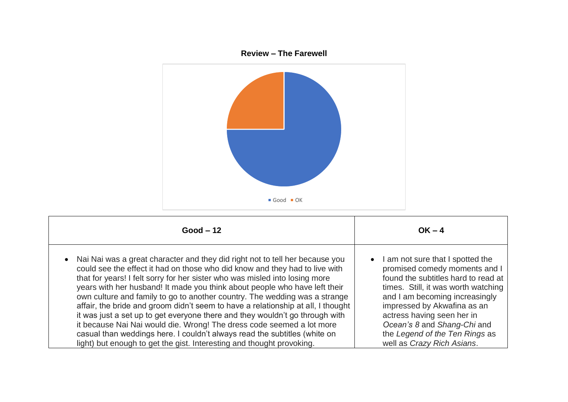

| $Good - 12$                                                                                                                                                                                                                                                                                                                                                                                                                                                                                                                                                                                                                                                                                                                                                                                               | $OK - 4$                                                                                                                                                                                                                                                                                                                                                   |
|-----------------------------------------------------------------------------------------------------------------------------------------------------------------------------------------------------------------------------------------------------------------------------------------------------------------------------------------------------------------------------------------------------------------------------------------------------------------------------------------------------------------------------------------------------------------------------------------------------------------------------------------------------------------------------------------------------------------------------------------------------------------------------------------------------------|------------------------------------------------------------------------------------------------------------------------------------------------------------------------------------------------------------------------------------------------------------------------------------------------------------------------------------------------------------|
| Nai Nai was a great character and they did right not to tell her because you<br>could see the effect it had on those who did know and they had to live with<br>that for years! I felt sorry for her sister who was misled into losing more<br>years with her husband! It made you think about people who have left their<br>own culture and family to go to another country. The wedding was a strange<br>affair, the bride and groom didn't seem to have a relationship at all, I thought<br>it was just a set up to get everyone there and they wouldn't go through with<br>it because Nai Nai would die. Wrong! The dress code seemed a lot more<br>casual than weddings here. I couldn't always read the subtitles (white on<br>light) but enough to get the gist. Interesting and thought provoking. | I am not sure that I spotted the<br>$\bullet$<br>promised comedy moments and I<br>found the subtitles hard to read at<br>times. Still, it was worth watching<br>and I am becoming increasingly<br>impressed by Akwafina as an<br>actress having seen her in<br>Ocean's 8 and Shang-Chi and<br>the Legend of the Ten Rings as<br>well as Crazy Rich Asians. |